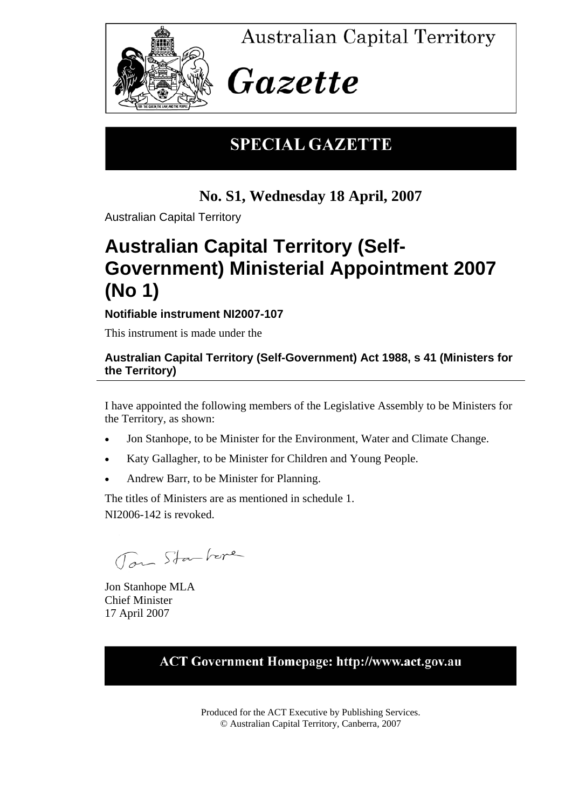

**Australian Capital Territory** 

# Gazette

## **SPECIAL GAZETTE**

**No. S1, Wednesday 18 April, 2007** 

Australian Capital Territory

## **Australian Capital Territory (Self-Government) Ministerial Appointment 2007 (No 1)**

**Notifiable instrument NI2007-107** 

This instrument is made under the

### **Australian Capital Territory (Self-Government) Act 1988, s 41 (Ministers for the Territory)**

I have appointed the following members of the Legislative Assembly to be Ministers for the Territory, as shown:

- Jon Stanhope, to be Minister for the Environment, Water and Climate Change.
- Katy Gallagher, to be Minister for Children and Young People.
- Andrew Barr, to be Minister for Planning.

The titles of Ministers are as mentioned in schedule 1. NI2006-142 is revoked.

Tom Starkere

Jon Stanhope MLA Chief Minister 17 April 2007

## **ACT Government Homepage: http://www.act.gov.au**

Produced for the ACT Executive by Publishing Services. © Australian Capital Territory, Canberra, 2007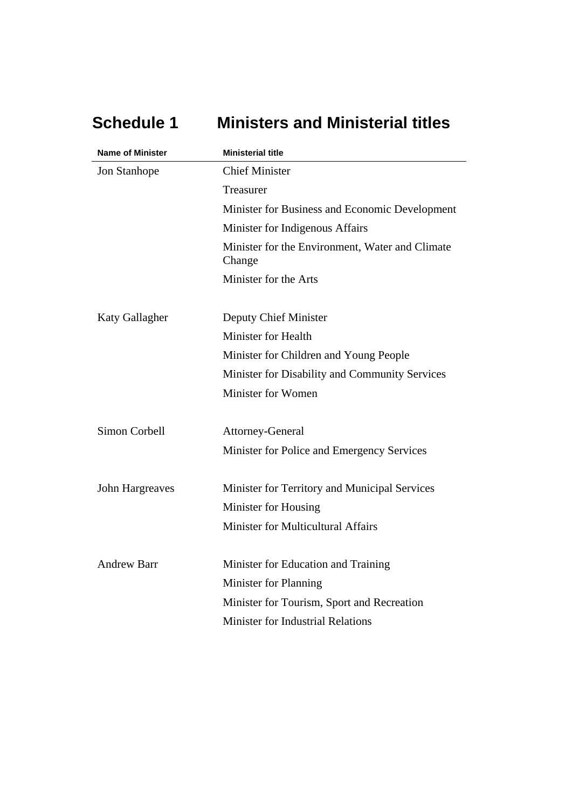| <b>Name of Minister</b> | <b>Ministerial title</b>                                  |
|-------------------------|-----------------------------------------------------------|
| Jon Stanhope            | <b>Chief Minister</b>                                     |
|                         | Treasurer                                                 |
|                         | Minister for Business and Economic Development            |
|                         | Minister for Indigenous Affairs                           |
|                         | Minister for the Environment, Water and Climate<br>Change |
|                         | Minister for the Arts                                     |
| <b>Katy Gallagher</b>   | Deputy Chief Minister                                     |
|                         | Minister for Health                                       |
|                         | Minister for Children and Young People                    |
|                         | Minister for Disability and Community Services            |
|                         | Minister for Women                                        |
| Simon Corbell           | Attorney-General                                          |
|                         | Minister for Police and Emergency Services                |
| John Hargreaves         | Minister for Territory and Municipal Services             |
|                         | Minister for Housing                                      |
|                         | Minister for Multicultural Affairs                        |
| <b>Andrew Barr</b>      | Minister for Education and Training                       |
|                         | Minister for Planning                                     |
|                         | Minister for Tourism, Sport and Recreation                |
|                         | <b>Minister for Industrial Relations</b>                  |

**Schedule 1 Ministers and Ministerial titles**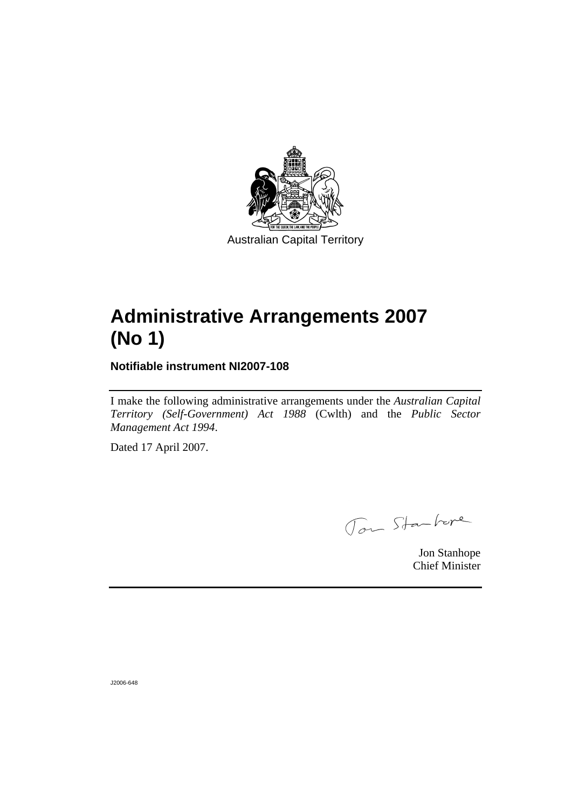

Australian Capital Territory

## **Administrative Arrangements 2007 (No 1)**

**Notifiable instrument NI2007-108** 

I make the following administrative arrangements under the *Australian Capital Territory (Self-Government) Act 1988* (Cwlth) and the *Public Sector Management Act 1994*.

Dated 17 April 2007.

Jon Starkere

Jon Stanhope Chief Minister

J2006-648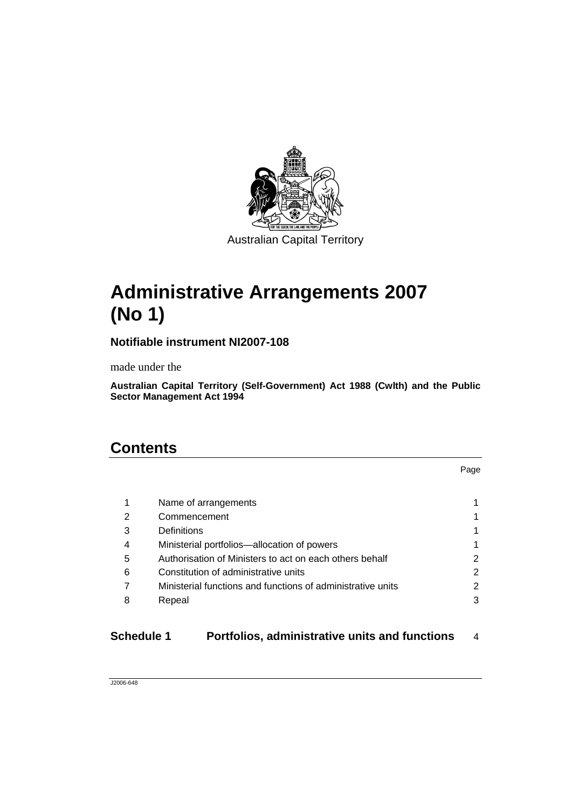

Australian Capital Territory

## **Administrative Arrangements 2007 (No 1)**

**Notifiable instrument NI2007-108** 

made under the

**Australian Capital Territory (Self-Government) Act 1988 (Cwlth) and the Public Sector Management Act 1994** 

## **Contents**

|   | Name of arrangements                                        |    |
|---|-------------------------------------------------------------|----|
| 2 | Commencement                                                | 1  |
| 3 | Definitions                                                 | 1. |
| 4 | Ministerial portfolios-allocation of powers                 | 1  |
| 5 | Authorisation of Ministers to act on each others behalf     | 2  |
| 6 | Constitution of administrative units                        | 2  |
|   | Ministerial functions and functions of administrative units | 2  |
| 8 | Repeal                                                      | 3  |
|   |                                                             |    |

**Schedule 1 Portfolios, administrative units and functions** 4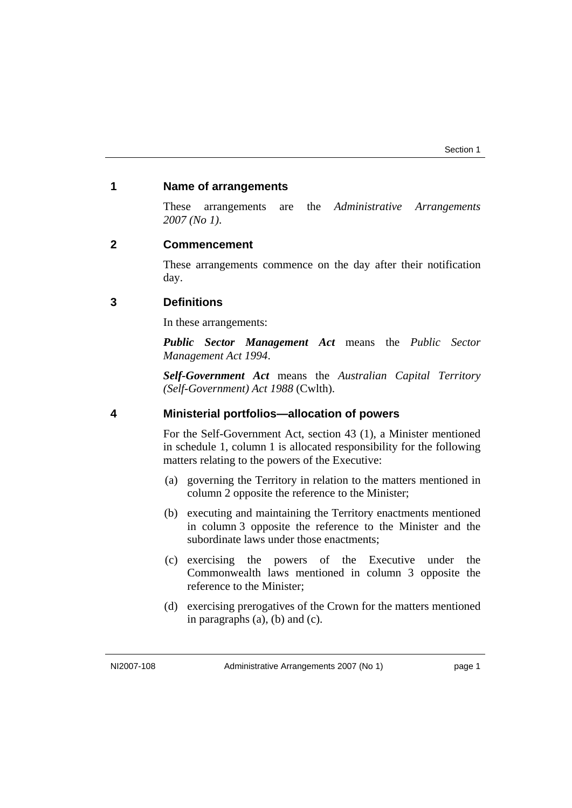### **1 Name of arrangements**

These arrangements are the *Administrative Arrangements 2007 (No 1)*.

### **2 Commencement**

These arrangements commence on the day after their notification day.

### **3 Definitions**

In these arrangements:

*Public Sector Management Act* means the *Public Sector Management Act 1994*.

*Self-Government Act* means the *Australian Capital Territory (Self-Government) Act 1988* (Cwlth).

### **4 Ministerial portfolios—allocation of powers**

For the Self-Government Act, section 43 (1), a Minister mentioned in schedule 1, column 1 is allocated responsibility for the following matters relating to the powers of the Executive:

- (a) governing the Territory in relation to the matters mentioned in column 2 opposite the reference to the Minister;
- (b) executing and maintaining the Territory enactments mentioned in column 3 opposite the reference to the Minister and the subordinate laws under those enactments;
- (c) exercising the powers of the Executive under the Commonwealth laws mentioned in column 3 opposite the reference to the Minister;
- (d) exercising prerogatives of the Crown for the matters mentioned in paragraphs (a), (b) and (c).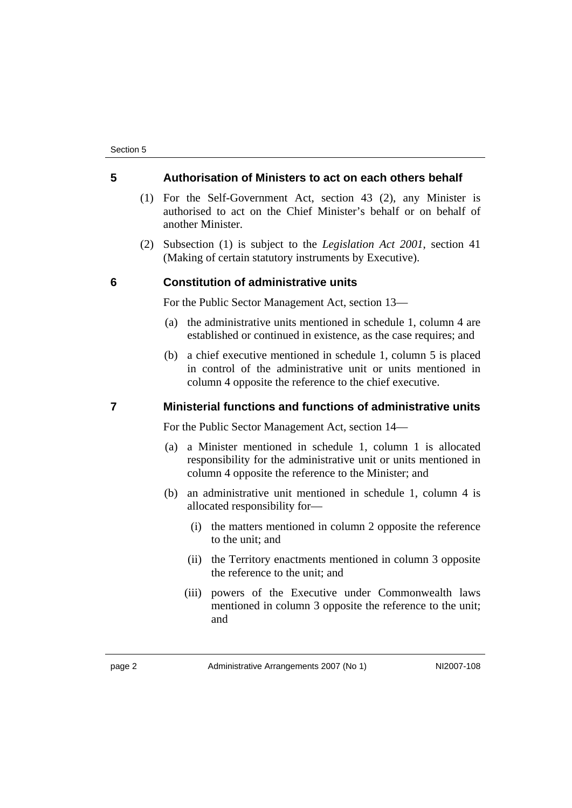### **5 Authorisation of Ministers to act on each others behalf**

- (1) For the Self-Government Act, section 43 (2), any Minister is authorised to act on the Chief Minister's behalf or on behalf of another Minister.
- (2) Subsection (1) is subject to the *Legislation Act 2001*, section 41 (Making of certain statutory instruments by Executive).

### **6 Constitution of administrative units**

For the Public Sector Management Act, section 13—

- (a) the administrative units mentioned in schedule 1, column 4 are established or continued in existence, as the case requires; and
- (b) a chief executive mentioned in schedule 1, column 5 is placed in control of the administrative unit or units mentioned in column 4 opposite the reference to the chief executive.

### **7 Ministerial functions and functions of administrative units**

For the Public Sector Management Act, section 14—

- (a) a Minister mentioned in schedule 1, column 1 is allocated responsibility for the administrative unit or units mentioned in column 4 opposite the reference to the Minister; and
- (b) an administrative unit mentioned in schedule 1, column 4 is allocated responsibility for—
	- (i) the matters mentioned in column 2 opposite the reference to the unit; and
	- (ii) the Territory enactments mentioned in column 3 opposite the reference to the unit; and
	- (iii) powers of the Executive under Commonwealth laws mentioned in column 3 opposite the reference to the unit; and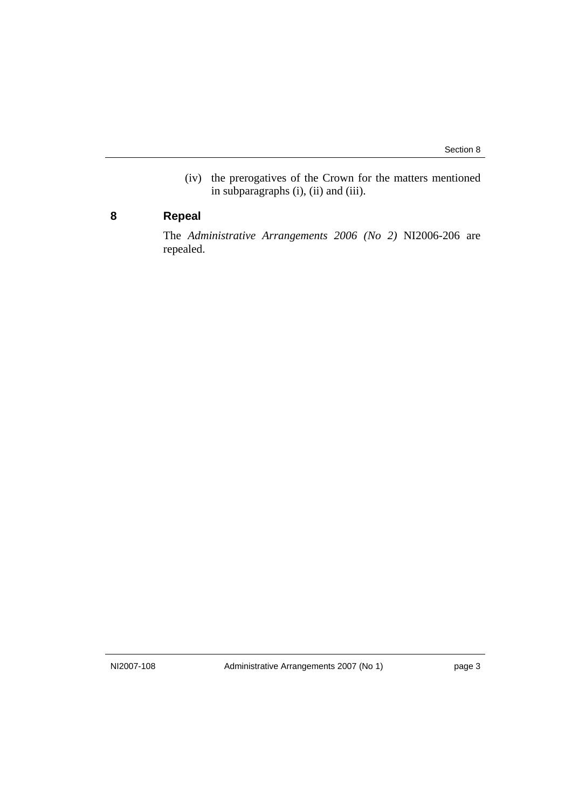(iv) the prerogatives of the Crown for the matters mentioned in subparagraphs (i), (ii) and (iii).

### **8 Repeal**

The *Administrative Arrangements 2006 (No 2)* NI2006-206 are repealed.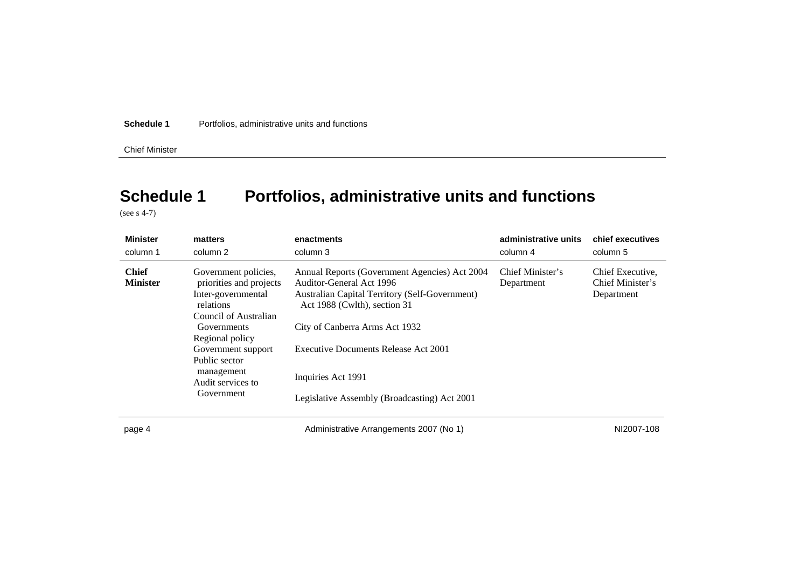Chief Minister

## **Schedule 1 Portfolios, administrative units and functions**

(see s 4-7)

| <b>Minister</b>                 | matters                                                                                                                                                                                                                               | enactments                                                                                                                                                                                                                                                                                                  | administrative units           | chief executives                                   |
|---------------------------------|---------------------------------------------------------------------------------------------------------------------------------------------------------------------------------------------------------------------------------------|-------------------------------------------------------------------------------------------------------------------------------------------------------------------------------------------------------------------------------------------------------------------------------------------------------------|--------------------------------|----------------------------------------------------|
| column 1                        | column 2                                                                                                                                                                                                                              | column 3                                                                                                                                                                                                                                                                                                    | column 4                       | column 5                                           |
| <b>Chief</b><br><b>Minister</b> | Government policies,<br>priorities and projects<br>Inter-governmental<br>relations<br>Council of Australian<br>Governments<br>Regional policy<br>Government support<br>Public sector<br>management<br>Audit services to<br>Government | Annual Reports (Government Agencies) Act 2004<br>Auditor-General Act 1996<br>Australian Capital Territory (Self-Government)<br>Act 1988 (Cwlth), section 31<br>City of Canberra Arms Act 1932<br>Executive Documents Release Act 2001<br>Inquiries Act 1991<br>Legislative Assembly (Broadcasting) Act 2001 | Chief Minister's<br>Department | Chief Executive,<br>Chief Minister's<br>Department |

page 4 and the Communistrative Arrangements 2007 (No 1) and the Communistrative Arrangements 2007 (No 1) no match NI2007-108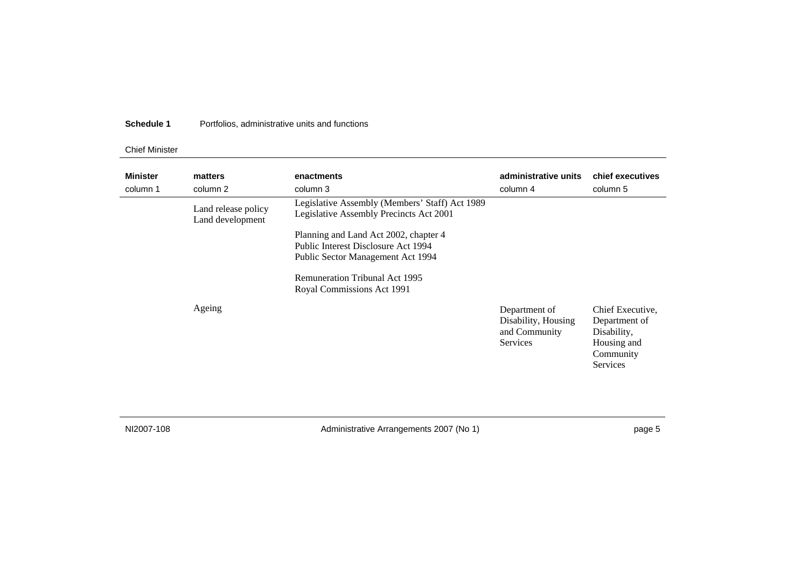### Chief Minister

| <b>Minister</b><br>column 1 | matters<br>column 2                     | enactments<br>column 3                                                                                                                                                                   | administrative units<br>column 4                                  | chief executives<br>column 5                                                             |
|-----------------------------|-----------------------------------------|------------------------------------------------------------------------------------------------------------------------------------------------------------------------------------------|-------------------------------------------------------------------|------------------------------------------------------------------------------------------|
|                             | Land release policy<br>Land development | Legislative Assembly (Members' Staff) Act 1989<br>Legislative Assembly Precincts Act 2001                                                                                                |                                                                   |                                                                                          |
|                             |                                         | Planning and Land Act 2002, chapter 4<br>Public Interest Disclosure Act 1994<br>Public Sector Management Act 1994<br><b>Remuneration Tribunal Act 1995</b><br>Royal Commissions Act 1991 |                                                                   |                                                                                          |
|                             | Ageing                                  |                                                                                                                                                                                          | Department of<br>Disability, Housing<br>and Community<br>Services | Chief Executive,<br>Department of<br>Disability,<br>Housing and<br>Community<br>Services |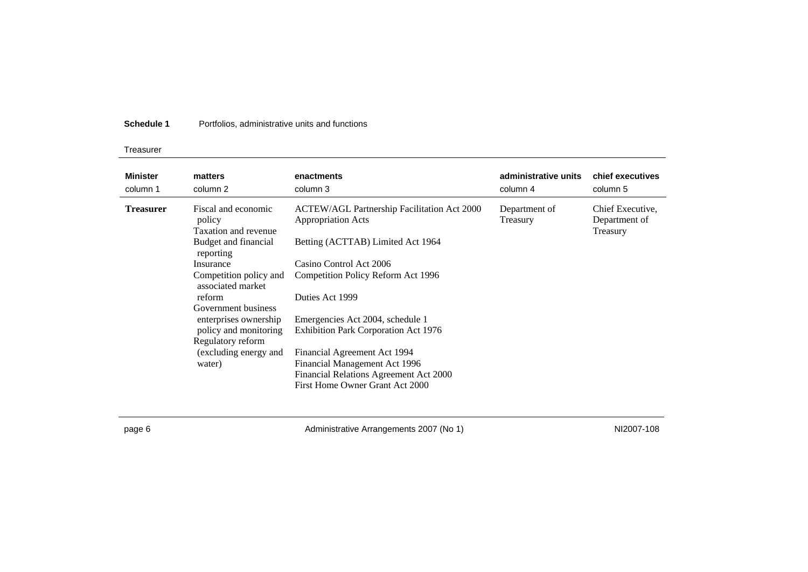### Treasurer

| <b>Minister</b><br>column 1 | matters<br>column 2                                   | enactments<br>column 3                                                                                  | administrative units<br>column 4 | chief executives<br>column 5                  |
|-----------------------------|-------------------------------------------------------|---------------------------------------------------------------------------------------------------------|----------------------------------|-----------------------------------------------|
| <b>Treasurer</b>            | Fiscal and economic<br>policy<br>Taxation and revenue | <b>ACTEW/AGL Partnership Facilitation Act 2000</b><br><b>Appropriation Acts</b>                         | Department of<br>Treasury        | Chief Executive,<br>Department of<br>Treasury |
|                             | Budget and financial<br>reporting                     | Betting (ACTTAB) Limited Act 1964                                                                       |                                  |                                               |
|                             | Insurance                                             | Casino Control Act 2006                                                                                 |                                  |                                               |
|                             | Competition policy and<br>associated market           | Competition Policy Reform Act 1996                                                                      |                                  |                                               |
|                             | reform                                                | Duties Act 1999                                                                                         |                                  |                                               |
|                             | Government business                                   |                                                                                                         |                                  |                                               |
|                             | enterprises ownership                                 | Emergencies Act 2004, schedule 1                                                                        |                                  |                                               |
|                             | policy and monitoring                                 | <b>Exhibition Park Corporation Act 1976</b>                                                             |                                  |                                               |
|                             | Regulatory reform                                     |                                                                                                         |                                  |                                               |
|                             | (excluding energy and<br>water)                       | Financial Agreement Act 1994<br>Financial Management Act 1996<br>Financial Relations Agreement Act 2000 |                                  |                                               |
|                             |                                                       | First Home Owner Grant Act 2000                                                                         |                                  |                                               |

page 6 and the Communistrative Arrangements 2007 (No 1) and the Communistrative Arrangements 2007 (No 1) https://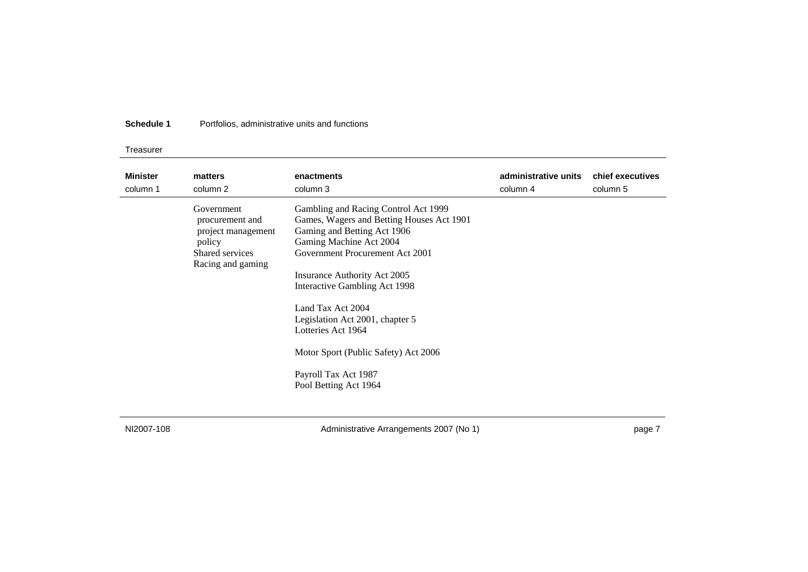### Treasurer

| <b>Minister</b> | matters                                                                                               | enactments                                                                                                                                                                                                                                                                                                                                                                                                             | administrative units | chief executives |
|-----------------|-------------------------------------------------------------------------------------------------------|------------------------------------------------------------------------------------------------------------------------------------------------------------------------------------------------------------------------------------------------------------------------------------------------------------------------------------------------------------------------------------------------------------------------|----------------------|------------------|
| column 1        | column 2                                                                                              | column 3                                                                                                                                                                                                                                                                                                                                                                                                               | column 4             | column 5         |
|                 | Government<br>procurement and<br>project management<br>policy<br>Shared services<br>Racing and gaming | Gambling and Racing Control Act 1999<br>Games, Wagers and Betting Houses Act 1901<br>Gaming and Betting Act 1906<br>Gaming Machine Act 2004<br>Government Procurement Act 2001<br>Insurance Authority Act 2005<br>Interactive Gambling Act 1998<br>Land Tax Act 2004<br>Legislation Act 2001, chapter 5<br>Lotteries Act 1964<br>Motor Sport (Public Safety) Act 2006<br>Payroll Tax Act 1987<br>Pool Betting Act 1964 |                      |                  |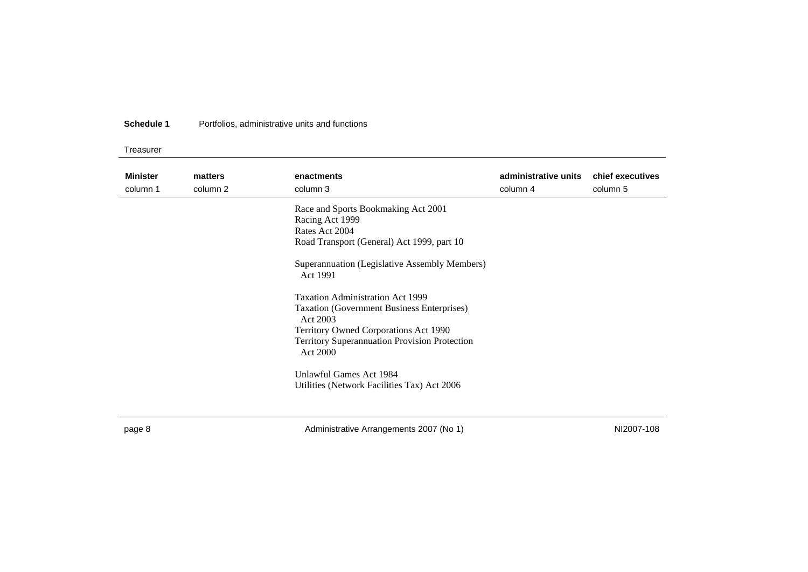Treasurer

| <b>Minister</b><br>column 1 | matters<br>column 2 | enactments<br>column 3                                                                                                                                                  | administrative units<br>column 4 | chief executives<br>column 5 |
|-----------------------------|---------------------|-------------------------------------------------------------------------------------------------------------------------------------------------------------------------|----------------------------------|------------------------------|
|                             |                     | Race and Sports Bookmaking Act 2001<br>Racing Act 1999<br>Rates Act 2004<br>Road Transport (General) Act 1999, part 10<br>Superannuation (Legislative Assembly Members) |                                  |                              |
|                             |                     | Act 1991<br><b>Taxation Administration Act 1999</b><br><b>Taxation (Government Business Enterprises)</b><br>Act 2003<br>Territory Owned Corporations Act 1990           |                                  |                              |
|                             |                     | <b>Territory Superannuation Provision Protection</b><br>Act 2000<br>Unlawful Games Act 1984<br>Utilities (Network Facilities Tax) Act 2006                              |                                  |                              |

page 8 and the Communistrative Arrangements 2007 (No 1) and the Communistrative Arrangements 2007 (No 1) https://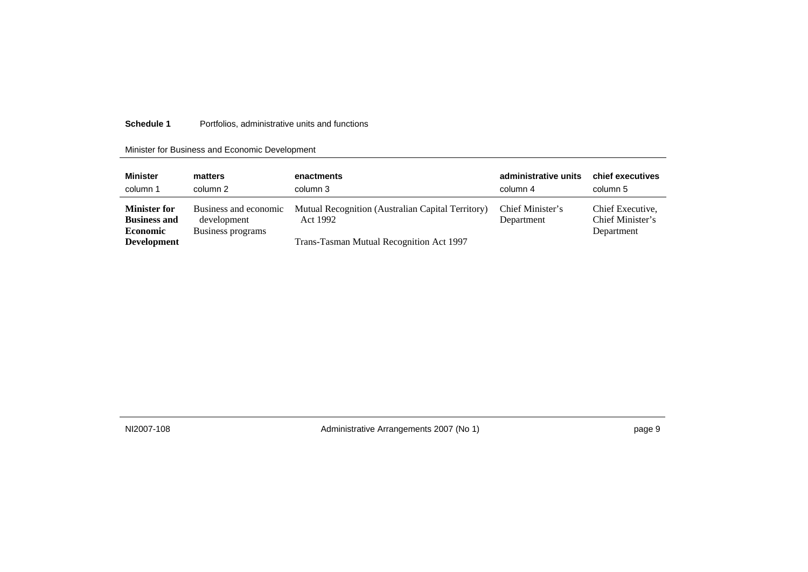### Minister for Business and Economic Development

| <b>Minister</b>                                                                     | matters                                                   | enactments                                                                                                | administrative units           | chief executives                                   |
|-------------------------------------------------------------------------------------|-----------------------------------------------------------|-----------------------------------------------------------------------------------------------------------|--------------------------------|----------------------------------------------------|
| column 1                                                                            | column 2                                                  | column 3                                                                                                  | column 4                       | column 5                                           |
| <b>Minister for</b><br><b>Business and</b><br><b>Economic</b><br><b>Development</b> | Business and economic<br>development<br>Business programs | Mutual Recognition (Australian Capital Territory)<br>Act 1992<br>Trans-Tasman Mutual Recognition Act 1997 | Chief Minister's<br>Department | Chief Executive,<br>Chief Minister's<br>Department |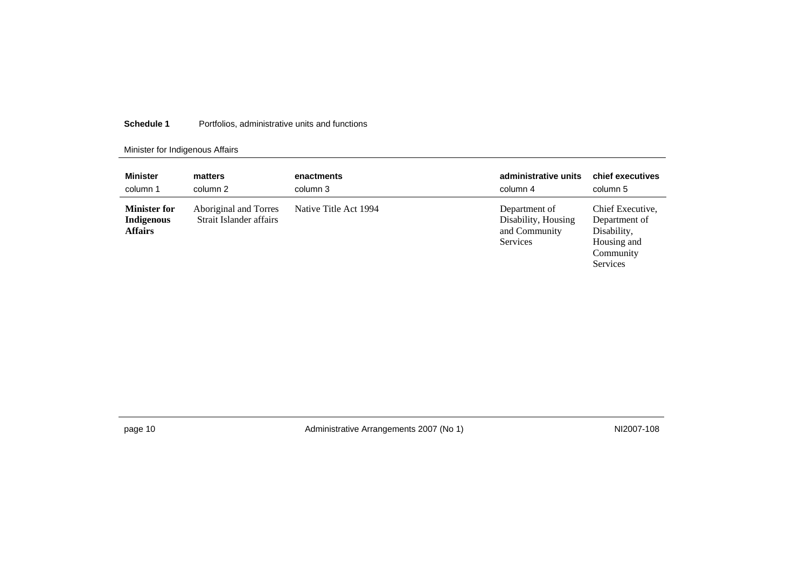### Minister for Indigenous Affairs

| <b>Minister</b>                                     | matters                                          | enactments            | administrative units                                              | chief executives                                                                         |
|-----------------------------------------------------|--------------------------------------------------|-----------------------|-------------------------------------------------------------------|------------------------------------------------------------------------------------------|
| column 1                                            | column 2                                         | column 3              | column 4                                                          | column 5                                                                                 |
| <b>Minister for</b><br>Indigenous<br><b>Affairs</b> | Aboriginal and Torres<br>Strait Islander affairs | Native Title Act 1994 | Department of<br>Disability, Housing<br>and Community<br>Services | Chief Executive,<br>Department of<br>Disability,<br>Housing and<br>Community<br>Services |

page 10 and the Communistrative Arrangements 2007 (No 1) and the Communistrative Arrangements 2007 (No 1) and the Communistrative Arrangements 2007 (No 1)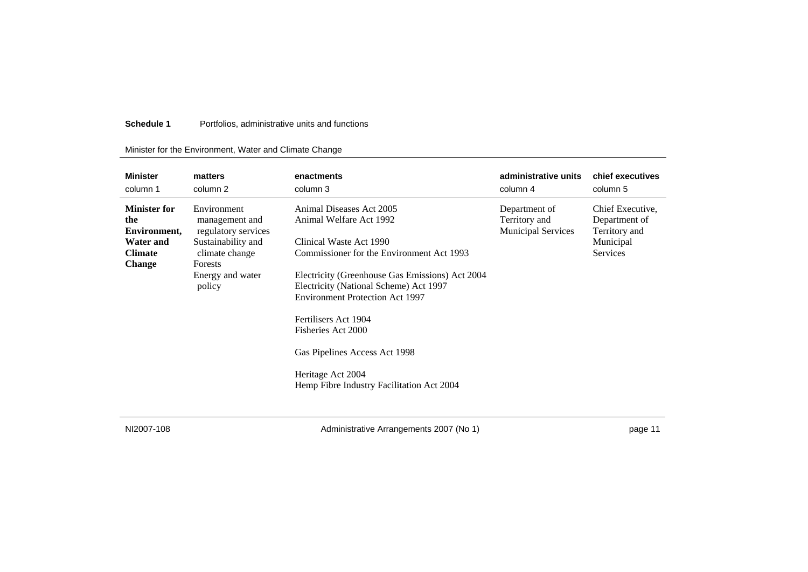### Minister for the Environment, Water and Climate Change

| <b>Minister</b>                                                                                   | matters                                                                                                                               | enactments                                                                                                                                                                                                                                                                                                                                                                                                          | administrative units                                        | chief executives                                                                   |
|---------------------------------------------------------------------------------------------------|---------------------------------------------------------------------------------------------------------------------------------------|---------------------------------------------------------------------------------------------------------------------------------------------------------------------------------------------------------------------------------------------------------------------------------------------------------------------------------------------------------------------------------------------------------------------|-------------------------------------------------------------|------------------------------------------------------------------------------------|
| column 1                                                                                          | column 2                                                                                                                              | column 3                                                                                                                                                                                                                                                                                                                                                                                                            | column 4                                                    | column 5                                                                           |
| <b>Minister for</b><br>the<br>Environment,<br><b>Water and</b><br><b>Climate</b><br><b>Change</b> | Environment<br>management and<br>regulatory services<br>Sustainability and<br>climate change<br>Forests<br>Energy and water<br>policy | Animal Diseases Act 2005<br>Animal Welfare Act 1992<br>Clinical Waste Act 1990<br>Commissioner for the Environment Act 1993<br>Electricity (Greenhouse Gas Emissions) Act 2004<br>Electricity (National Scheme) Act 1997<br><b>Environment Protection Act 1997</b><br>Fertilisers Act 1904<br>Fisheries Act 2000<br>Gas Pipelines Access Act 1998<br>Heritage Act 2004<br>Hemp Fibre Industry Facilitation Act 2004 | Department of<br>Territory and<br><b>Municipal Services</b> | Chief Executive,<br>Department of<br>Territory and<br>Municipal<br><b>Services</b> |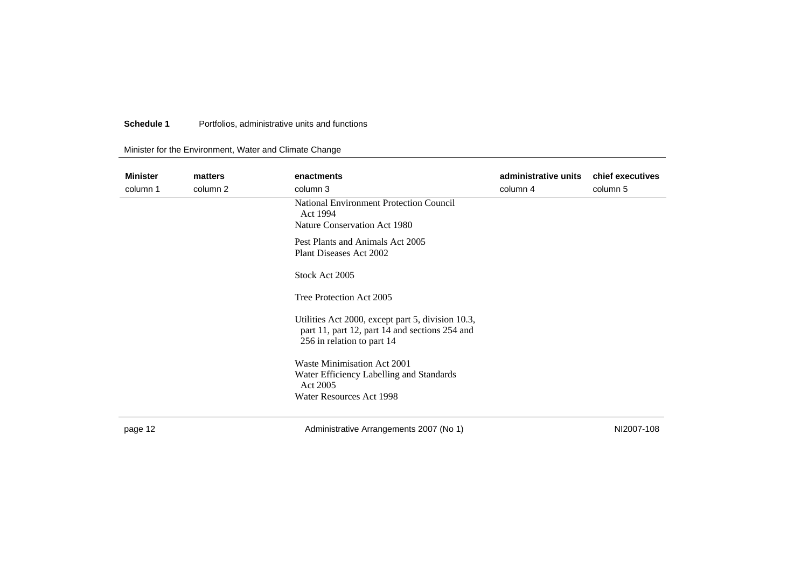### Minister for the Environment, Water and Climate Change

| <b>Minister</b> | matters  | enactments                                                                                                                        | administrative units | chief executives |
|-----------------|----------|-----------------------------------------------------------------------------------------------------------------------------------|----------------------|------------------|
| column 1        | column 2 | column 3                                                                                                                          | column 4             | column 5         |
|                 |          | National Environment Protection Council<br>Act 1994                                                                               |                      |                  |
|                 |          | Nature Conservation Act 1980                                                                                                      |                      |                  |
|                 |          |                                                                                                                                   |                      |                  |
|                 |          | Pest Plants and Animals Act 2005                                                                                                  |                      |                  |
|                 |          | Plant Diseases Act 2002                                                                                                           |                      |                  |
|                 |          | Stock Act 2005                                                                                                                    |                      |                  |
|                 |          |                                                                                                                                   |                      |                  |
|                 |          | Tree Protection Act 2005                                                                                                          |                      |                  |
|                 |          | Utilities Act 2000, except part 5, division 10.3,<br>part 11, part 12, part 14 and sections 254 and<br>256 in relation to part 14 |                      |                  |
|                 |          | Waste Minimisation Act 2001                                                                                                       |                      |                  |
|                 |          | Water Efficiency Labelling and Standards                                                                                          |                      |                  |
|                 |          | Act 2005                                                                                                                          |                      |                  |
|                 |          | Water Resources Act 1998                                                                                                          |                      |                  |
|                 |          |                                                                                                                                   |                      |                  |
|                 |          |                                                                                                                                   |                      |                  |

page 12 **Administrative Arrangements 2007 (No 1)** MI2007-108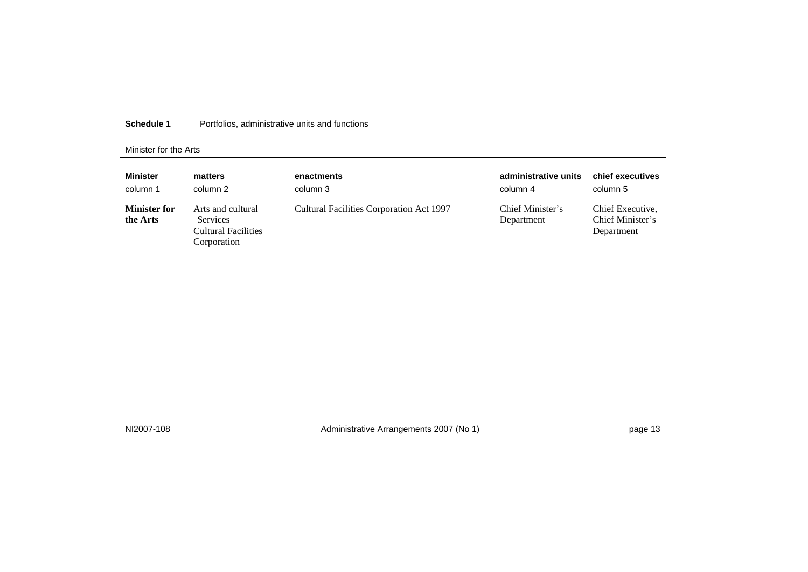#### Minister for the Arts

| <b>Minister</b>                 | matters                                                                           | enactments                               | administrative units           | chief executives                                   |
|---------------------------------|-----------------------------------------------------------------------------------|------------------------------------------|--------------------------------|----------------------------------------------------|
| column 1                        | column 2                                                                          | column 3                                 | column 4                       | column 5                                           |
| <b>Minister for</b><br>the Arts | Arts and cultural<br><b>Services</b><br><b>Cultural Facilities</b><br>Corporation | Cultural Facilities Corporation Act 1997 | Chief Minister's<br>Department | Chief Executive,<br>Chief Minister's<br>Department |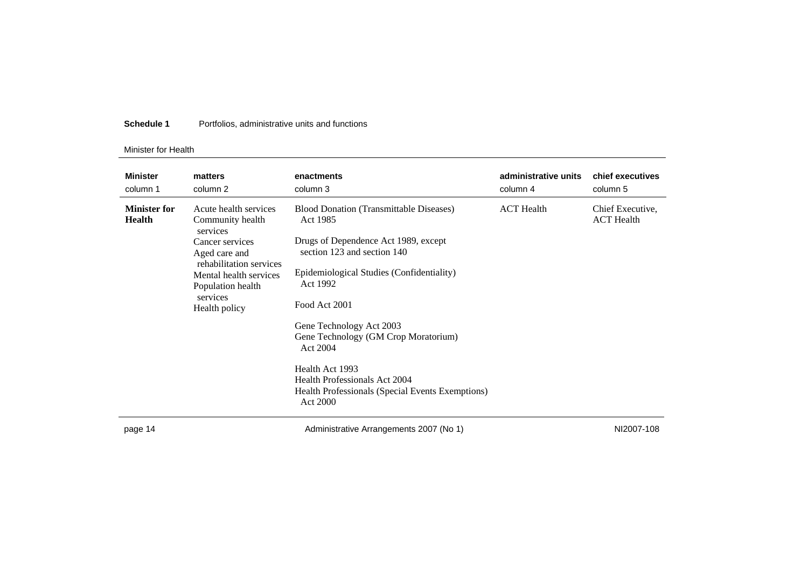#### Minister for Health

| <b>Minister</b><br>column 1          | matters<br>column 2                                                                                                                            | enactments<br>column 3                                                                                                                                                                                                               | administrative units<br>column 4 | chief executives<br>column 5          |
|--------------------------------------|------------------------------------------------------------------------------------------------------------------------------------------------|--------------------------------------------------------------------------------------------------------------------------------------------------------------------------------------------------------------------------------------|----------------------------------|---------------------------------------|
| <b>Minister for</b><br><b>Health</b> | Acute health services<br>Community health<br>services<br>Cancer services<br>Aged care and<br>rehabilitation services<br>Mental health services | <b>Blood Donation (Transmittable Diseases)</b><br>Act 1985<br>Drugs of Dependence Act 1989, except<br>section 123 and section 140<br>Epidemiological Studies (Confidentiality)                                                       | <b>ACT</b> Health                | Chief Executive,<br><b>ACT</b> Health |
|                                      | Population health<br>services<br>Health policy                                                                                                 | Act 1992<br>Food Act 2001<br>Gene Technology Act 2003<br>Gene Technology (GM Crop Moratorium)<br>Act 2004<br>Health Act 1993<br><b>Health Professionals Act 2004</b><br>Health Professionals (Special Events Exemptions)<br>Act 2000 |                                  |                                       |
| page 14                              |                                                                                                                                                | Administrative Arrangements 2007 (No 1)                                                                                                                                                                                              |                                  | NI2007-108                            |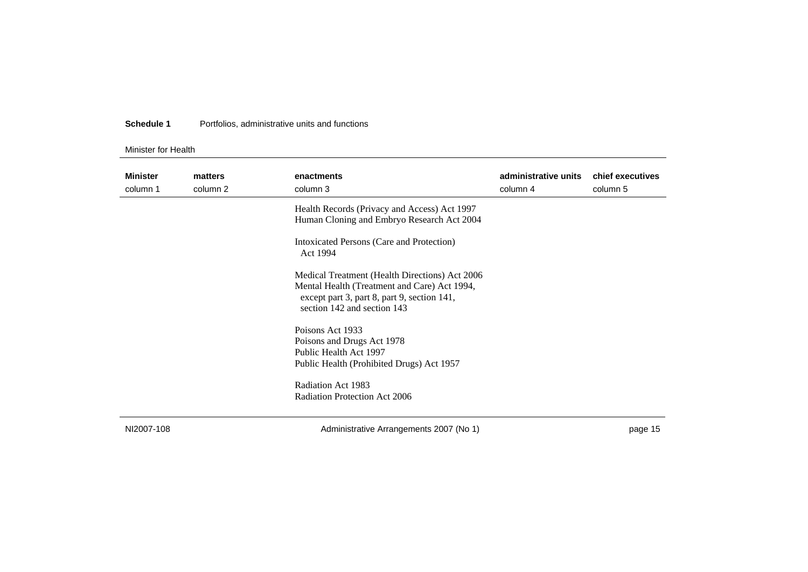#### Minister for Health

| <b>Minister</b><br>column 1 | matters<br>column 2 | enactments<br>column 3                                                                                                                                                       | administrative units<br>column 4 | chief executives<br>column 5 |
|-----------------------------|---------------------|------------------------------------------------------------------------------------------------------------------------------------------------------------------------------|----------------------------------|------------------------------|
|                             |                     | Health Records (Privacy and Access) Act 1997<br>Human Cloning and Embryo Research Act 2004                                                                                   |                                  |                              |
|                             |                     | Intoxicated Persons (Care and Protection)<br>Act 1994                                                                                                                        |                                  |                              |
|                             |                     | Medical Treatment (Health Directions) Act 2006<br>Mental Health (Treatment and Care) Act 1994,<br>except part 3, part 8, part 9, section 141,<br>section 142 and section 143 |                                  |                              |
|                             |                     | Poisons Act 1933<br>Poisons and Drugs Act 1978<br>Public Health Act 1997<br>Public Health (Prohibited Drugs) Act 1957                                                        |                                  |                              |
|                             |                     | Radiation Act 1983<br>Radiation Protection Act 2006                                                                                                                          |                                  |                              |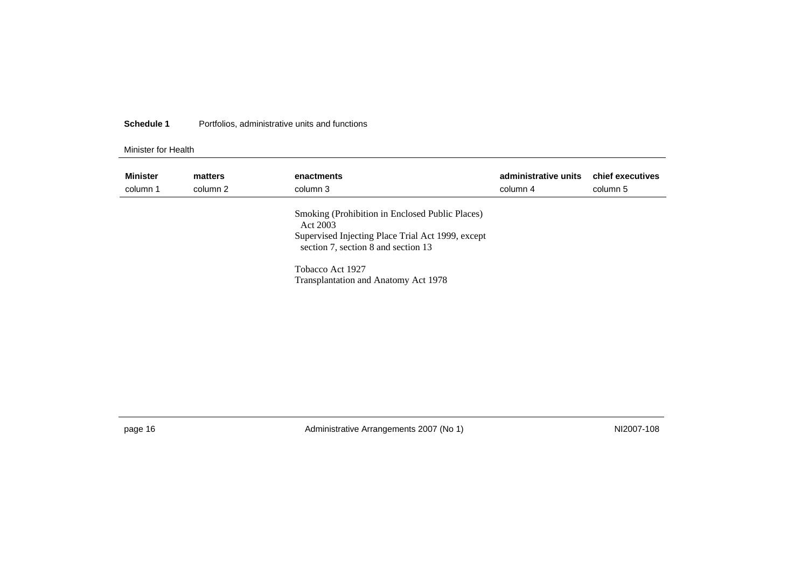#### Minister for Health

| <b>Minister</b><br>column 1 | matters<br>column 2 | enactments<br>column 3                                                                                                                                  | administrative units<br>column 4 | chief executives<br>column 5 |
|-----------------------------|---------------------|---------------------------------------------------------------------------------------------------------------------------------------------------------|----------------------------------|------------------------------|
|                             |                     | Smoking (Prohibition in Enclosed Public Places)<br>Act 2003<br>Supervised Injecting Place Trial Act 1999, except<br>section 7, section 8 and section 13 |                                  |                              |
|                             |                     | Tobacco Act 1927<br>Transplantation and Anatomy Act 1978                                                                                                |                                  |                              |

page 16 and 10 Administrative Arrangements 2007 (No 1) And 10 Administrative Arrangements 2007 (No 1)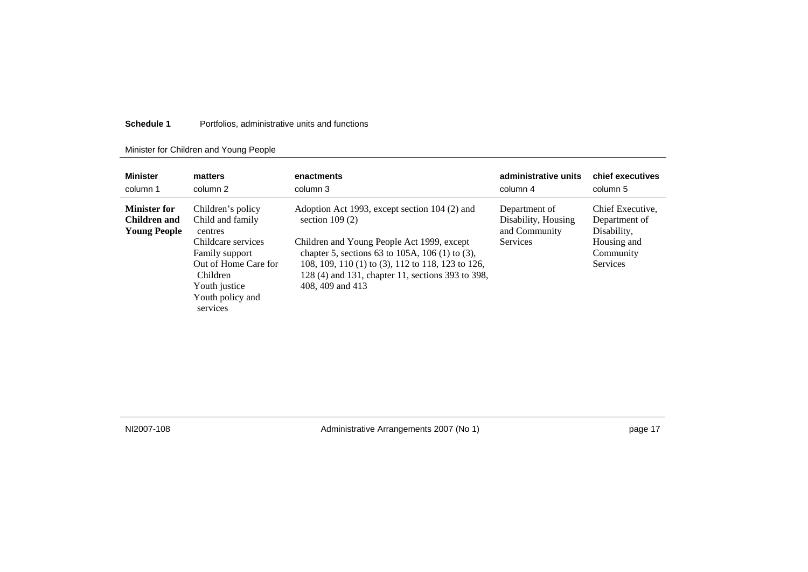### Minister for Children and Young People

| <b>Minister</b>                                            | matters                                                                                                                                                                              | enactments                                                                                                                                                                                                                                                                                       | administrative units                                                     | chief executives                                                                         |
|------------------------------------------------------------|--------------------------------------------------------------------------------------------------------------------------------------------------------------------------------------|--------------------------------------------------------------------------------------------------------------------------------------------------------------------------------------------------------------------------------------------------------------------------------------------------|--------------------------------------------------------------------------|------------------------------------------------------------------------------------------|
| column 1                                                   | column 2                                                                                                                                                                             | column 3                                                                                                                                                                                                                                                                                         | column 4                                                                 | column 5                                                                                 |
| <b>Minister for</b><br>Children and<br><b>Young People</b> | Children's policy<br>Child and family<br>centres<br>Childcare services<br>Family support<br>Out of Home Care for<br><b>Children</b><br>Youth justice<br>Youth policy and<br>services | Adoption Act 1993, except section 104 (2) and<br>section $109(2)$<br>Children and Young People Act 1999, except<br>chapter 5, sections 63 to 105A, 106 (1) to (3),<br>108, 109, 110 (1) to (3), 112 to 118, 123 to 126,<br>128 (4) and 131, chapter 11, sections 393 to 398,<br>408, 409 and 413 | Department of<br>Disability, Housing<br>and Community<br><b>Services</b> | Chief Executive.<br>Department of<br>Disability,<br>Housing and<br>Community<br>Services |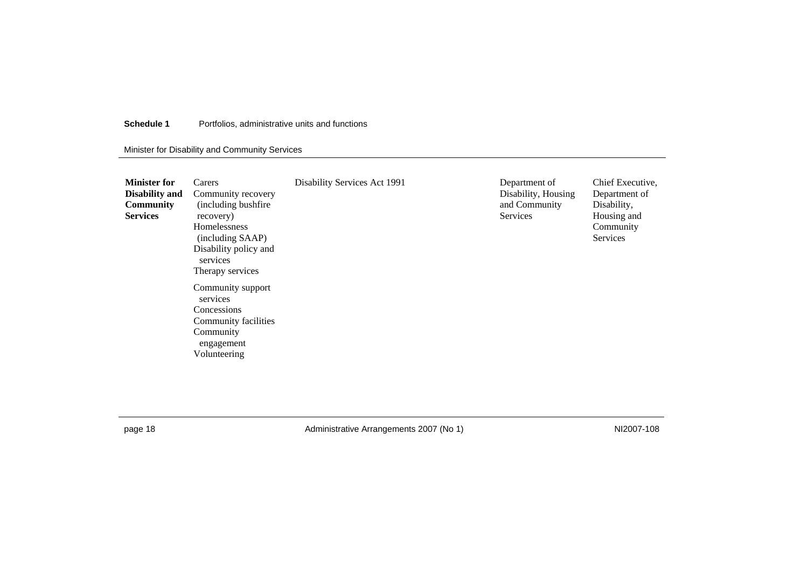Minister for Disability and Community Services

| <b>Minister for</b><br><b>Disability and</b><br><b>Community</b><br><b>Services</b> | Carers<br>Community recovery<br>(including bushfire)<br>recovery)<br>Homelessness<br>(including SAAP)<br>Disability policy and<br>services<br>Therapy services | Disability Services Act 1991 | Department of<br>Disability, Housing<br>and Community<br>Services | Chief Executive,<br>Department of<br>Disability,<br>Housing and<br>Community<br>Services |
|-------------------------------------------------------------------------------------|----------------------------------------------------------------------------------------------------------------------------------------------------------------|------------------------------|-------------------------------------------------------------------|------------------------------------------------------------------------------------------|
|                                                                                     | Community support<br>services<br>Concessions<br>Community facilities<br>Community<br>engagement<br>Volunteering                                                |                              |                                                                   |                                                                                          |

page 18 MI2007-108 Administrative Arrangements 2007 (No 1)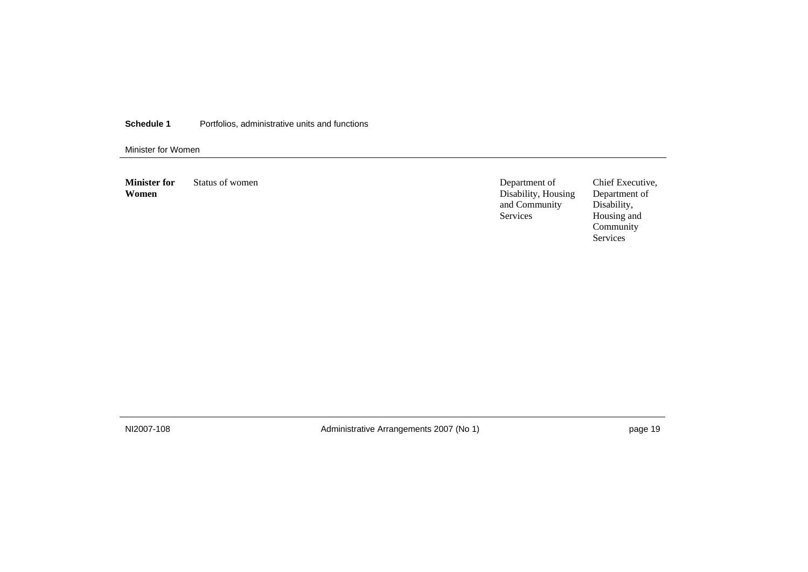Minister for Women

**Minister for Women**  Status of women Department of

Disability, Housing and Community Services

Chief Executive, Department of Disability, Housing and Community Services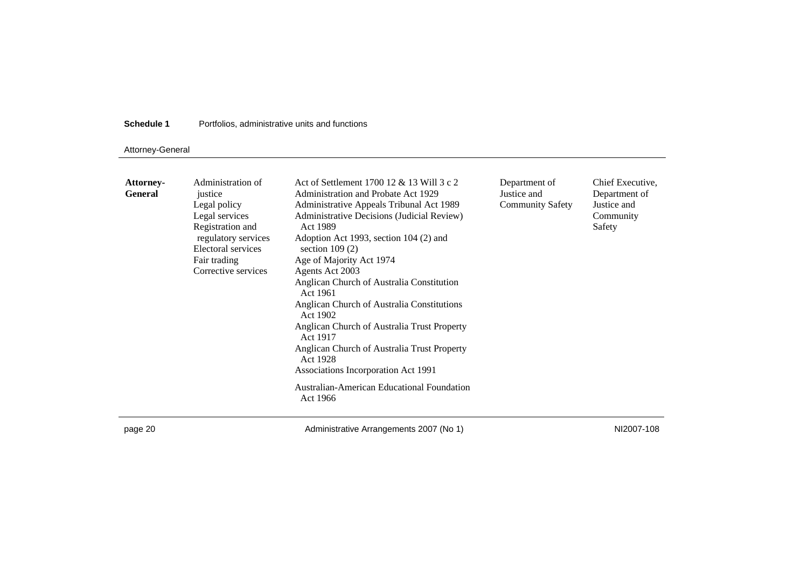### Attorney-General

| <b>Attorney-</b><br><b>General</b> | Administration of<br>justice<br>Legal policy<br>Legal services<br>Registration and<br>regulatory services<br>Electoral services<br>Fair trading<br>Corrective services | Act of Settlement 1700 12 & 13 Will 3 c 2<br>Administration and Probate Act 1929<br>Administrative Appeals Tribunal Act 1989<br>Administrative Decisions (Judicial Review)<br>Act 1989<br>Adoption Act 1993, section 104 (2) and<br>section $109(2)$<br>Age of Majority Act 1974<br>Agents Act 2003<br>Anglican Church of Australia Constitution<br>Act 1961<br>Anglican Church of Australia Constitutions<br>Act 1902<br>Anglican Church of Australia Trust Property<br>Act 1917<br>Anglican Church of Australia Trust Property<br>Act 1928<br>Associations Incorporation Act 1991<br>Australian-American Educational Foundation | Department of<br>Justice and<br><b>Community Safety</b> | Chief Executive,<br>Department of<br>Justice and<br>Community<br>Safety |
|------------------------------------|------------------------------------------------------------------------------------------------------------------------------------------------------------------------|-----------------------------------------------------------------------------------------------------------------------------------------------------------------------------------------------------------------------------------------------------------------------------------------------------------------------------------------------------------------------------------------------------------------------------------------------------------------------------------------------------------------------------------------------------------------------------------------------------------------------------------|---------------------------------------------------------|-------------------------------------------------------------------------|
|                                    |                                                                                                                                                                        | Act 1966                                                                                                                                                                                                                                                                                                                                                                                                                                                                                                                                                                                                                          |                                                         |                                                                         |

page 20 **Administrative Arrangements 2007 (No 1)** MI2007-108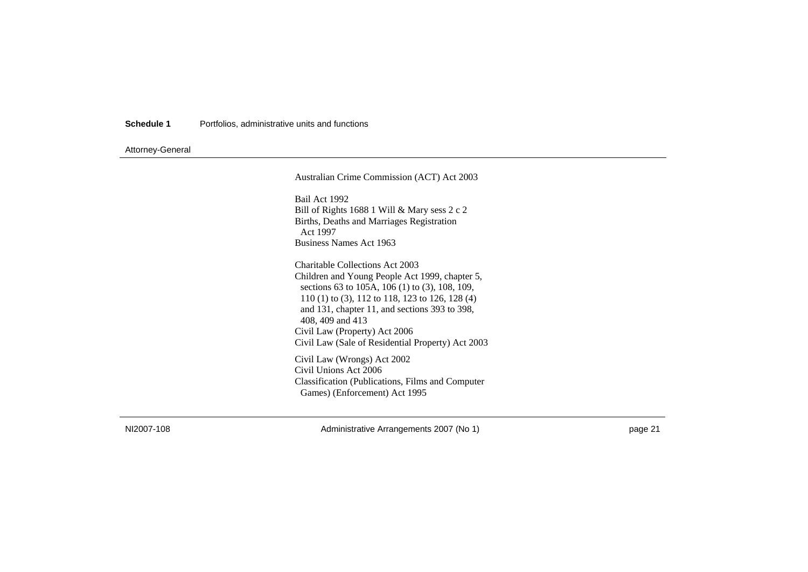### Attorney-General

| Australian Crime Commission (ACT) Act 2003                                                                                                                                                                                                                  |
|-------------------------------------------------------------------------------------------------------------------------------------------------------------------------------------------------------------------------------------------------------------|
| Bail Act 1992                                                                                                                                                                                                                                               |
| Bill of Rights 1688 1 Will & Mary sess $2c2$                                                                                                                                                                                                                |
| Births, Deaths and Marriages Registration<br>Act 1997                                                                                                                                                                                                       |
| Business Names Act 1963                                                                                                                                                                                                                                     |
| Charitable Collections Act 2003<br>Children and Young People Act 1999, chapter 5,<br>sections 63 to 105A, 106 (1) to (3), 108, 109,<br>110 (1) to (3), 112 to 118, 123 to 126, 128 (4)<br>and 131, chapter 11, and sections 393 to 398,<br>408, 409 and 413 |
| Civil Law (Property) Act 2006                                                                                                                                                                                                                               |
| Civil Law (Sale of Residential Property) Act 2003                                                                                                                                                                                                           |
| Civil Law (Wrongs) Act 2002<br>Civil Unions Act 2006<br>Classification (Publications, Films and Computer<br>Games) (Enforcement) Act 1995                                                                                                                   |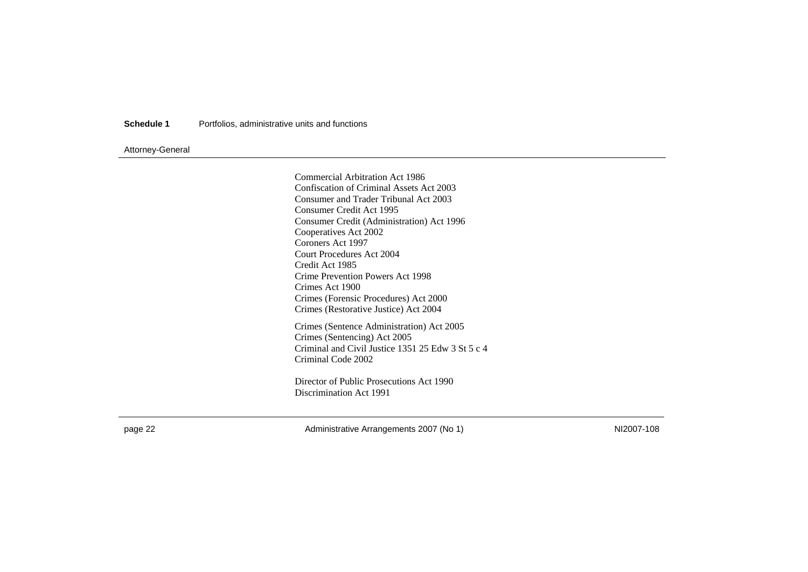### Attorney-General

Commercial Arbitration Act 1986 Confiscation of Criminal Assets Act 2003 Consumer and Trader Tribunal Act 2003 Consumer Credit Act 1995 Consumer Credit (Administration) Act 1996 Cooperatives Act 2002 Coroners Act 1997 Court Procedures Act 2004 Credit Act 1985 Crime Prevention Powers Act 1998 Crimes Act 1900 Crimes (Forensic Procedures) Act 2000 Crimes (Restorative Justice) Act 2004 Crimes (Sentence Administration) Act 2005 Crimes (Sentencing) Act 2005 Criminal and Civil Justice 1351 25 Edw 3 St 5 c 4 Criminal Code 2002 Director of Public Prosecutions Act 1990

Discrimination Act 1991

page 22 **Administrative Arrangements 2007 (No 1)** NI2007-108 NI2007-108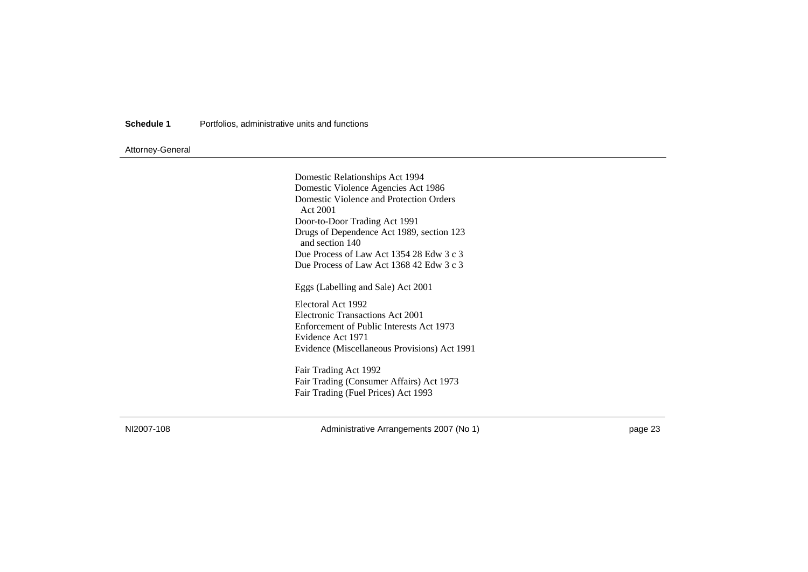### Attorney-General

Domestic Relationships Act 1994 Domestic Violence Agencies Act 1986 Domestic Violence and Protection Orders Act 2001 Door-to-Door Trading Act 1991 Drugs of Dependence Act 1989, section 123 and section 140 Due Process of Law Act 1354 28 Edw 3 c 3 Due Process of Law Act 1368 42 Edw 3 c 3

Eggs (Labelling and Sale) Act 2001

Electoral Act 1992 Electronic Transactions Act 2001 Enforcement of Public Interests Act 1973 Evidence Act 1971 Evidence (Miscellaneous Provisions) Act 1991

Fair Trading Act 1992 Fair Trading (Consumer Affairs) Act 1973 Fair Trading (Fuel Prices) Act 1993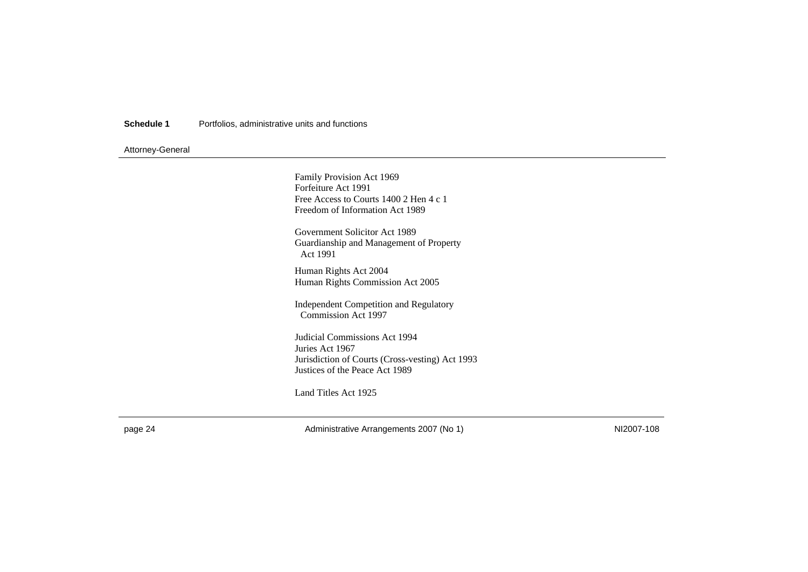### Attorney-General

Family Provision Act 1969 Forfeiture Act 1991 Free Access to Courts 1400 2 Hen 4 c 1 Freedom of Information Act 1989 Government Solicitor Act 1989 Guardianship and Management of Property Act 1991 Human Rights Act 2004 Human Rights Commission Act 2005 Independent Competition and Regulatory Commission Act 1997 Judicial Commissions Act 1994 Juries Act 1967 Jurisdiction of Courts (Cross-vesting) Act 1993 Justices of the Peace Act 1989

Land Titles Act 1925

page 24 **Administrative Arrangements 2007 (No 1)** NI2007-108 NI2007-108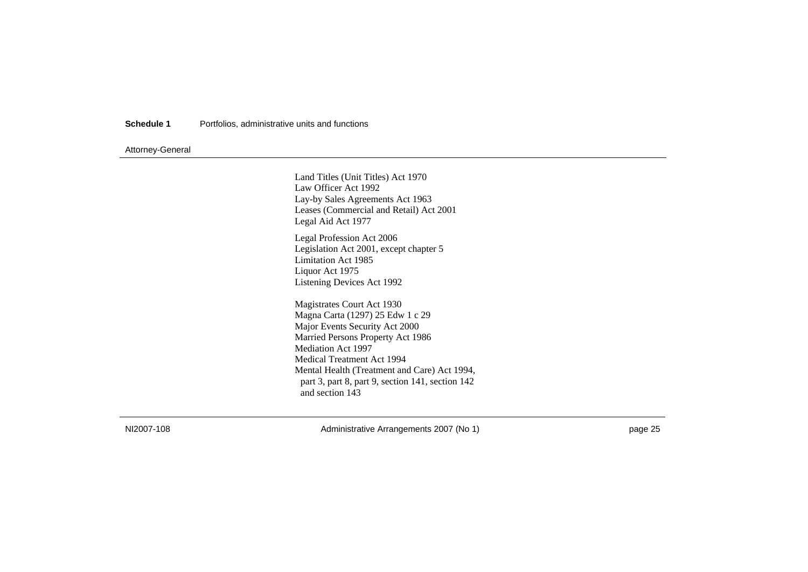### Attorney-General

Land Titles (Unit Titles) Act 1970 Law Officer Act 1992 Lay-by Sales Agreements Act 1963 Leases (Commercial and Retail) Act 2001 Legal Aid Act 1977 Legal Profession Act 2006 Legislation Act 2001, except chapter 5 Limitation Act 1985 Liquor Act 1975 Listening Devices Act 1992 Magistrates Court Act 1930 Magna Carta (1297) 25 Edw 1 c 29 Major Events Security Act 2000 Married Persons Property Act 1986 Mediation Act 1997 Medical Treatment Act 1994 Mental Health (Treatment and Care) Act 1994, part 3, part 8, part 9, section 141, section 142 and section 143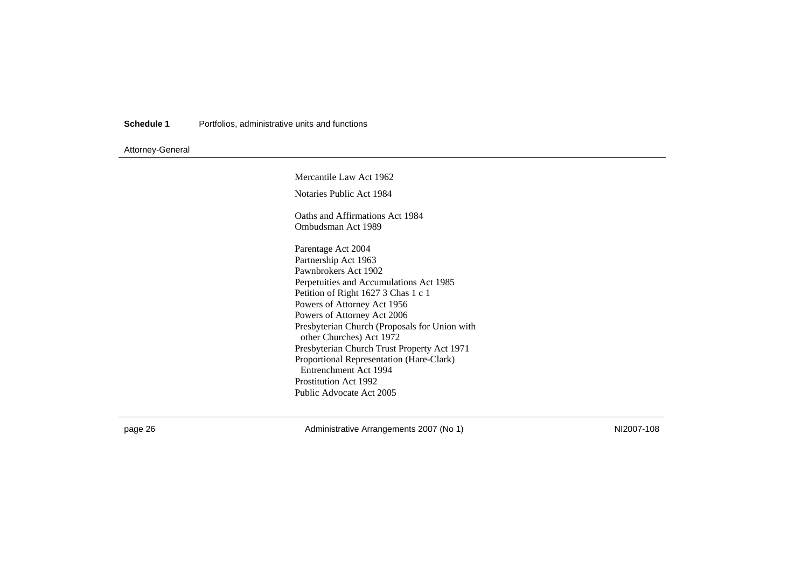### Attorney-General

Mercantile Law Act 1962 Notaries Public Act 1984 Oaths and Affirmations Act 1984 Ombudsman Act 1989 Parentage Act 2004 Partnership Act 1963 Pawnbrokers Act 1902 Perpetuities and Accumulations Act 1985 Petition of Right 1627 3 Chas 1 c 1 Powers of Attorney Act 1956 Powers of Attorney Act 2006 Presbyterian Church (Proposals for Union with other Churches) Act 1972 Presbyterian Church Trust Property Act 1971 Proportional Representation (Hare-Clark) Entrenchment Act 1994 Prostitution Act 1992 Public Advocate Act 2005

page 26 MI2007-108 Administrative Arrangements 2007 (No 1)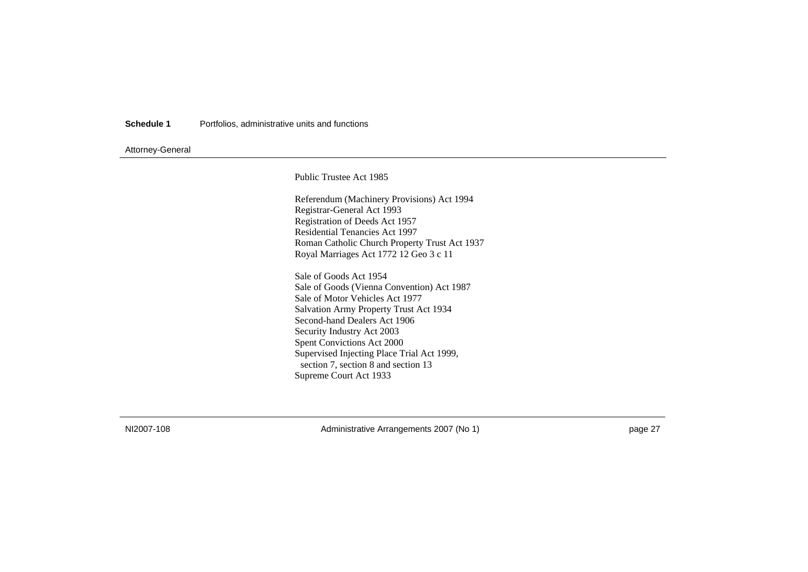### Attorney-General

Public Trustee Act 1985

Referendum (Machinery Provisions) Act 1994 Registrar-General Act 1993 Registration of Deeds Act 1957 Residential Tenancies Act 1997 Roman Catholic Church Property Trust Act 1937 Royal Marriages Act 1772 12 Geo 3 c 11

Sale of Goods Act 1954 Sale of Goods (Vienna Convention) Act 1987 Sale of Motor Vehicles Act 1977 Salvation Army Property Trust Act 1934 Second-hand Dealers Act 1906 Security Industry Act 2003 Spent Convictions Act 2000 Supervised Injecting Place Trial Act 1999, section 7, section 8 and section 13 Supreme Court Act 1933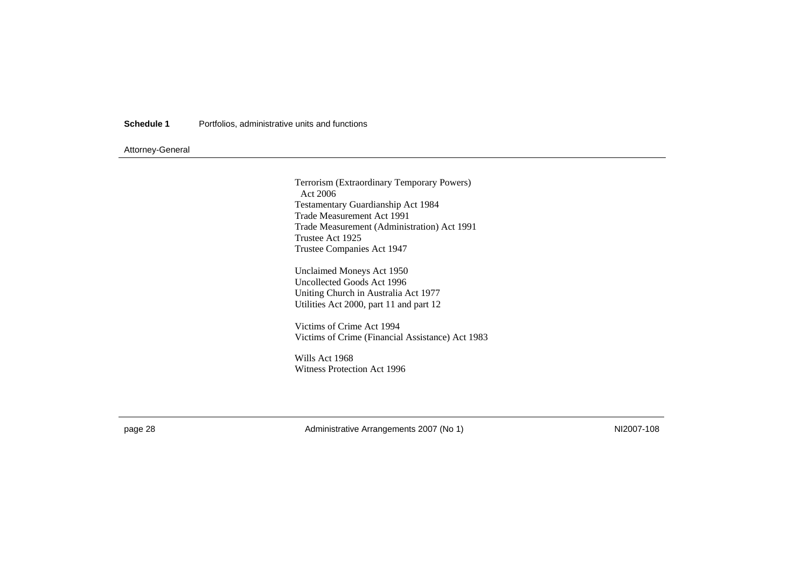### Attorney-General

Terrorism (Extraordinary Temporary Powers) Act 2006 Testamentary Guardianship Act 1984 Trade Measurement Act 1991 Trade Measurement (Administration) Act 1991 Trustee Act 1925 Trustee Companies Act 1947

Unclaimed Moneys Act 1950 Uncollected Goods Act 1996 Uniting Church in Australia Act 1977 Utilities Act 2000, part 11 and part 12

Victims of Crime Act 1994 Victims of Crime (Financial Assistance) Act 1983

Wills Act 1968 Witness Protection Act 1996

page 28 MI2007-108 Administrative Arrangements 2007 (No 1)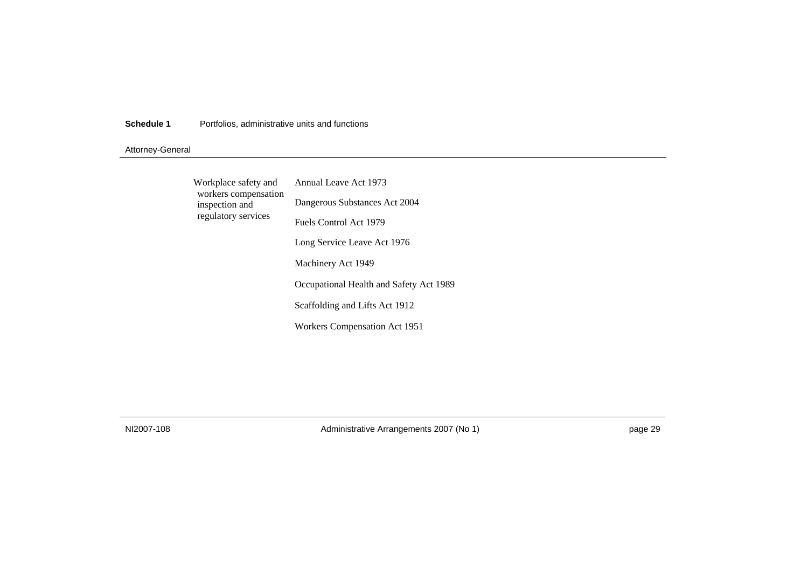### Attorney-General

| Workplace safety and<br>workers compensation | Annual Leave Act 1973                   |
|----------------------------------------------|-----------------------------------------|
| inspection and                               | Dangerous Substances Act 2004           |
| regulatory services                          | Fuels Control Act 1979                  |
|                                              | Long Service Leave Act 1976             |
|                                              | Machinery Act 1949                      |
|                                              | Occupational Health and Safety Act 1989 |
|                                              | Scaffolding and Lifts Act 1912          |
|                                              | Workers Compensation Act 1951           |
|                                              |                                         |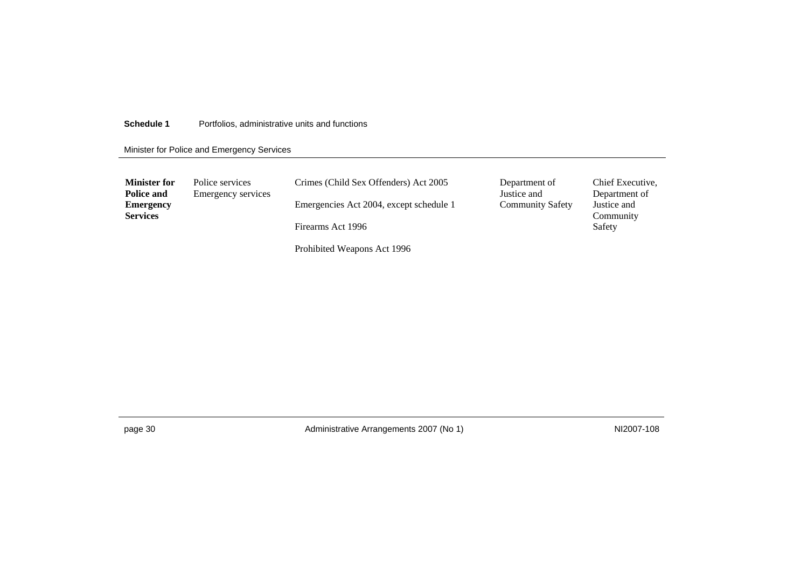Minister for Police and Emergency Services

| <b>Minister for</b><br>Police and   | Police services<br>Emergency services | Crimes (Child Sex Offenders) Act 2005   | Department of<br>Justice and | Chief Executive,<br>Department of |
|-------------------------------------|---------------------------------------|-----------------------------------------|------------------------------|-----------------------------------|
| <b>Emergency</b><br><b>Services</b> |                                       | Emergencies Act 2004, except schedule 1 | <b>Community Safety</b>      | Justice and                       |
|                                     |                                       | Firearms Act 1996                       |                              | Community<br>Safety               |
|                                     |                                       | Prohibited Weapons Act 1996             |                              |                                   |

page 30 MI2007-108 Administrative Arrangements 2007 (No 1)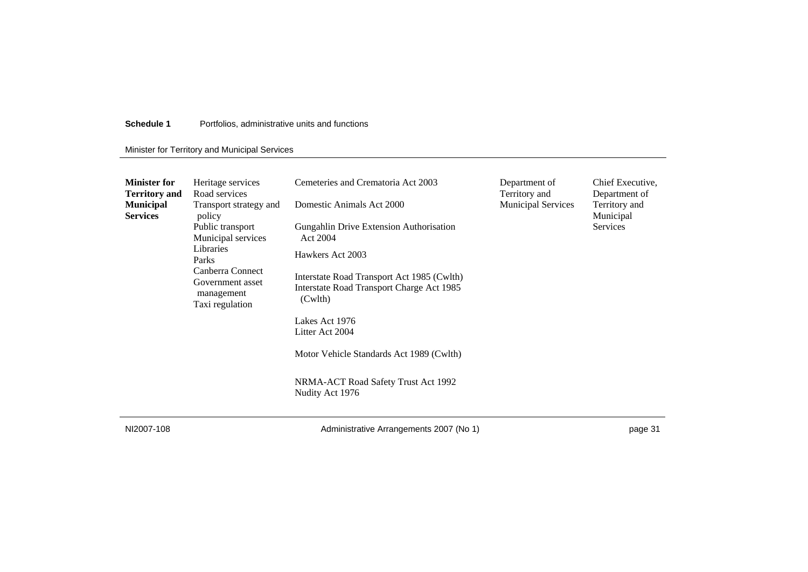### Minister for Territory and Municipal Services

| <b>Minister for</b><br><b>Territory and</b> | Heritage services<br>Road services                                                                                                                                        | Cemeteries and Crematoria Act 2003                                                                 | Department of<br>Territory and | Chief Executive,<br>Department of             |
|---------------------------------------------|---------------------------------------------------------------------------------------------------------------------------------------------------------------------------|----------------------------------------------------------------------------------------------------|--------------------------------|-----------------------------------------------|
| <b>Municipal</b><br><b>Services</b>         | Transport strategy and<br>policy<br>Public transport<br>Municipal services<br>Libraries<br>Parks<br>Canberra Connect<br>Government asset<br>management<br>Taxi regulation | Domestic Animals Act 2000                                                                          | <b>Municipal Services</b>      | Territory and<br>Municipal<br><b>Services</b> |
|                                             |                                                                                                                                                                           | <b>Gungahlin Drive Extension Authorisation</b><br>Act 2004                                         |                                |                                               |
|                                             |                                                                                                                                                                           | Hawkers Act 2003                                                                                   |                                |                                               |
|                                             |                                                                                                                                                                           | Interstate Road Transport Act 1985 (Cwlth)<br>Interstate Road Transport Charge Act 1985<br>(Cwlth) |                                |                                               |
|                                             |                                                                                                                                                                           | Lakes Act 1976<br>Litter Act 2004                                                                  |                                |                                               |
|                                             |                                                                                                                                                                           | Motor Vehicle Standards Act 1989 (Cwlth)                                                           |                                |                                               |
|                                             |                                                                                                                                                                           | NRMA-ACT Road Safety Trust Act 1992<br>Nudity Act 1976                                             |                                |                                               |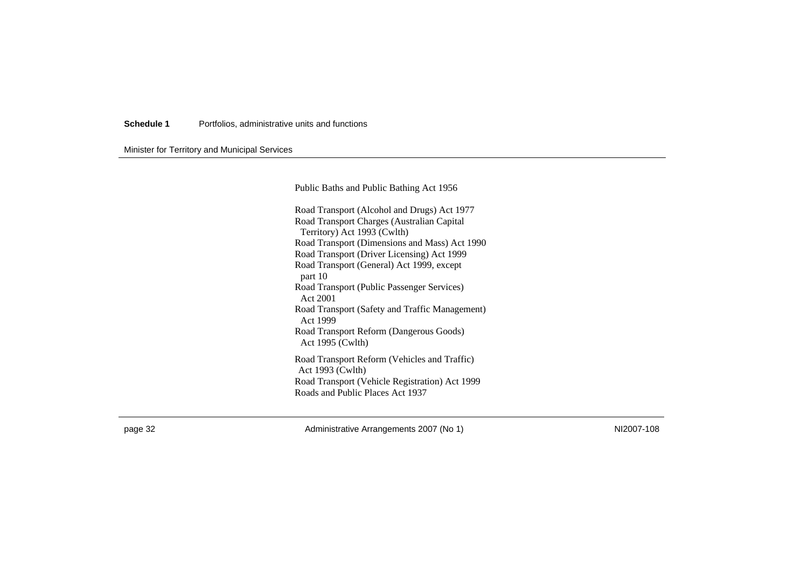Minister for Territory and Municipal Services

Public Baths and Public Bathing Act 1956

Road Transport (Alcohol and Drugs) Act 1977 Road Transport Charges (Australian Capital Territory) Act 1993 (Cwlth) Road Transport (Dimensions and Mass) Act 1990 Road Transport (Driver Licensing) Act 1999 Road Transport (General) Act 1999, except part 10 Road Transport (Public Passenger Services) Act 2001 Road Transport (Safety and Traffic Management) Act 1999 Road Transport Reform (Dangerous Goods) Act 1995 (Cwlth) Road Transport Reform (Vehicles and Traffic) Act 1993 (Cwlth) Road Transport (Vehicle Registration) Act 1999 Roads and Public Places Act 1937

page 32 NI2007-108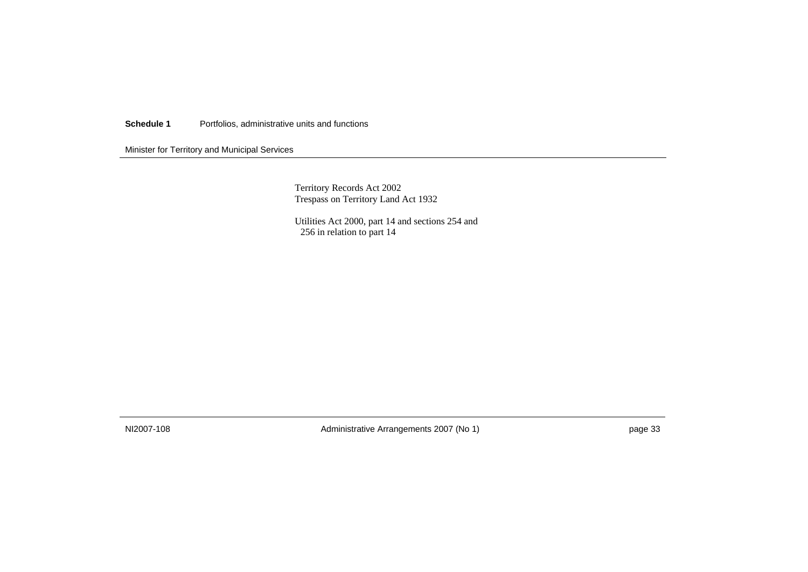Minister for Territory and Municipal Services

Territory Records Act 2002 Trespass on Territory Land Act 1932

Utilities Act 2000, part 14 and sections 254 and 256 in relation to part 14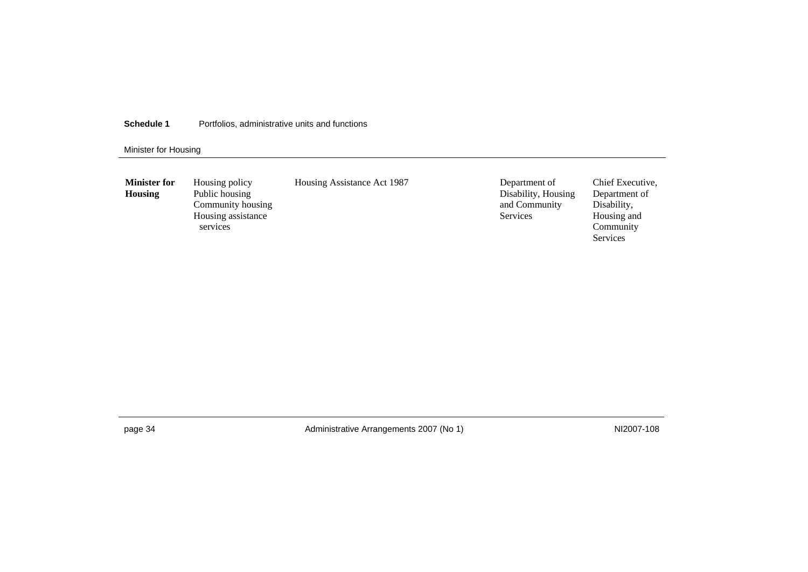### Minister for Housing

| <b>Minister for</b><br><b>Housing</b> | Housing policy<br>Public housing<br>Community housing<br>Housing assistance<br>services | Housing Assistance Act 1987 | Department of<br>Disability, Housing<br>and Community<br><b>Services</b> |
|---------------------------------------|-----------------------------------------------------------------------------------------|-----------------------------|--------------------------------------------------------------------------|
|                                       |                                                                                         |                             |                                                                          |

page 34 **Administrative Arrangements 2007 (No 1)** NI2007-108 NI2007-108

Chief Executive, Department of Disability, Housing and Community Services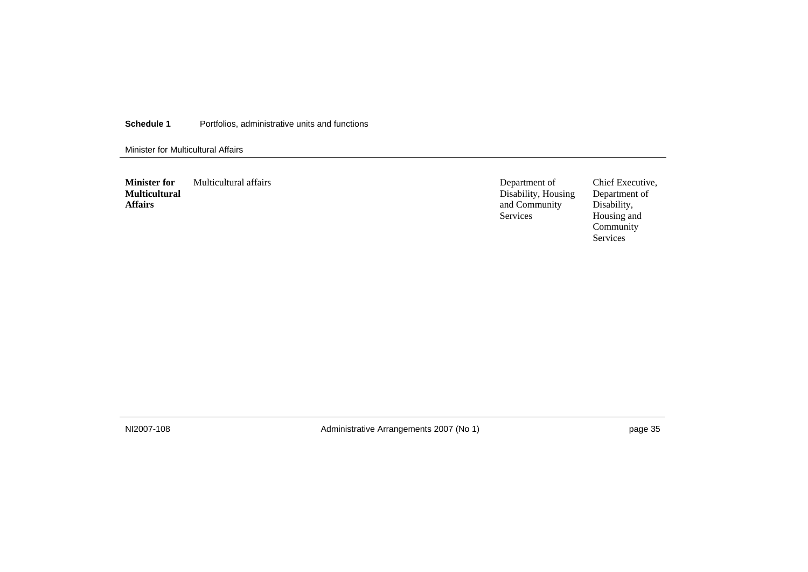Minister for Multicultural Affairs

**Minister for Multicultural Affairs**  Multicultural affairs Department of

Disability, Housing and Community Services

Chief Executive, Department of Disability, Housing and Community Services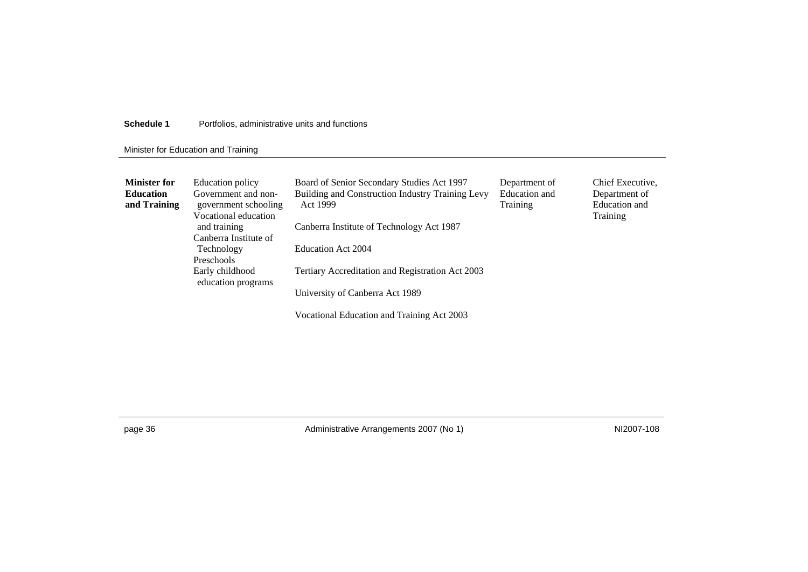### Minister for Education and Training

| <b>Minister for</b><br><b>Education</b><br>and Training | Education policy<br>Government and non-<br>government schooling<br>Vocational education | Board of Senior Secondary Studies Act 1997<br>Building and Construction Industry Training Levy<br>Act 1999 | Department of<br>Education and<br>Training | Chief Executive,<br>Department of<br>Education and<br>Training |
|---------------------------------------------------------|-----------------------------------------------------------------------------------------|------------------------------------------------------------------------------------------------------------|--------------------------------------------|----------------------------------------------------------------|
|                                                         | and training                                                                            | Canberra Institute of Technology Act 1987                                                                  |                                            |                                                                |
|                                                         | Canberra Institute of                                                                   |                                                                                                            |                                            |                                                                |
|                                                         | Technology                                                                              | Education Act 2004                                                                                         |                                            |                                                                |
|                                                         | Preschools                                                                              |                                                                                                            |                                            |                                                                |
|                                                         | Early childhood<br>education programs                                                   | Tertiary Accreditation and Registration Act 2003                                                           |                                            |                                                                |
|                                                         |                                                                                         | University of Canberra Act 1989                                                                            |                                            |                                                                |
|                                                         |                                                                                         | Vocational Education and Training Act 2003                                                                 |                                            |                                                                |

page 36 MI2007-108 Administrative Arrangements 2007 (No 1)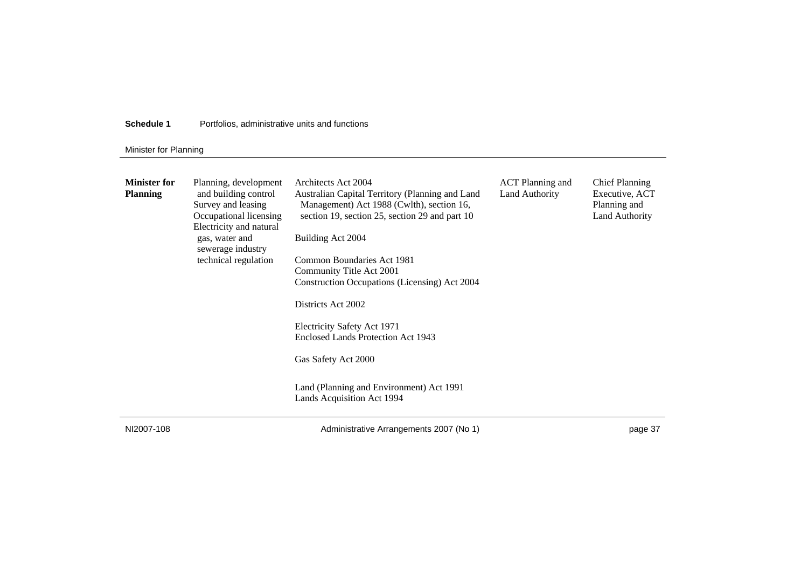### Minister for Planning

| <b>Minister for</b><br><b>Planning</b> | Planning, development<br>and building control<br>Survey and leasing<br>Occupational licensing<br>Electricity and natural<br>gas, water and<br>sewerage industry<br>technical regulation | Architects Act 2004<br>Australian Capital Territory (Planning and Land<br>Management) Act 1988 (Cwlth), section 16,<br>section 19, section 25, section 29 and part 10<br>Building Act 2004<br>Common Boundaries Act 1981<br>Community Title Act 2001<br>Construction Occupations (Licensing) Act 2004<br>Districts Act 2002<br>Electricity Safety Act 1971<br>Enclosed Lands Protection Act 1943<br>Gas Safety Act 2000<br>Land (Planning and Environment) Act 1991<br>Lands Acquisition Act 1994 | <b>ACT</b> Planning and<br>Land Authority | <b>Chief Planning</b><br>Executive, ACT<br>Planning and<br>Land Authority |
|----------------------------------------|-----------------------------------------------------------------------------------------------------------------------------------------------------------------------------------------|---------------------------------------------------------------------------------------------------------------------------------------------------------------------------------------------------------------------------------------------------------------------------------------------------------------------------------------------------------------------------------------------------------------------------------------------------------------------------------------------------|-------------------------------------------|---------------------------------------------------------------------------|
|----------------------------------------|-----------------------------------------------------------------------------------------------------------------------------------------------------------------------------------------|---------------------------------------------------------------------------------------------------------------------------------------------------------------------------------------------------------------------------------------------------------------------------------------------------------------------------------------------------------------------------------------------------------------------------------------------------------------------------------------------------|-------------------------------------------|---------------------------------------------------------------------------|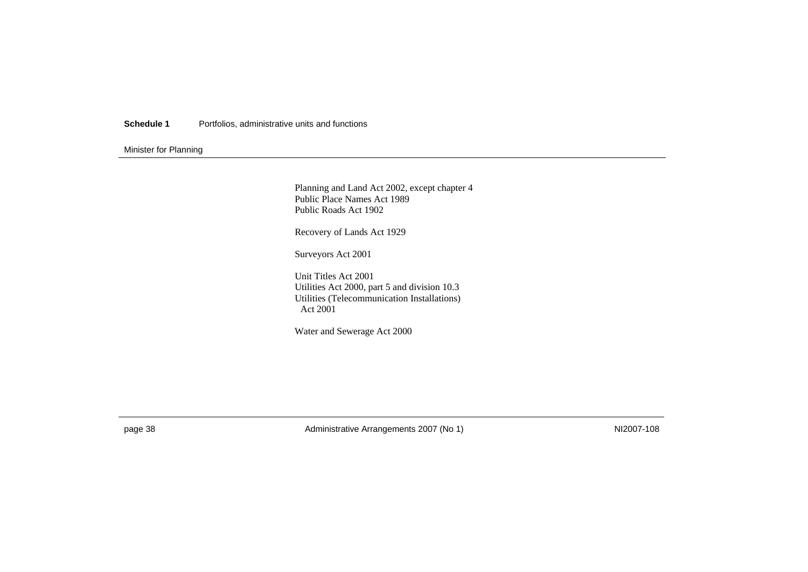### Minister for Planning

Planning and Land Act 2002, except chapter 4 Public Place Names Act 1989 Public Roads Act 1902

Recovery of Lands Act 1929

Surveyors Act 2001

Unit Titles Act 2001 Utilities Act 2000, part 5 and division 10.3 Utilities (Telecommunication Installations) Act 2001

Water and Sewerage Act 2000

page 38 MI2007-108 Administrative Arrangements 2007 (No 1)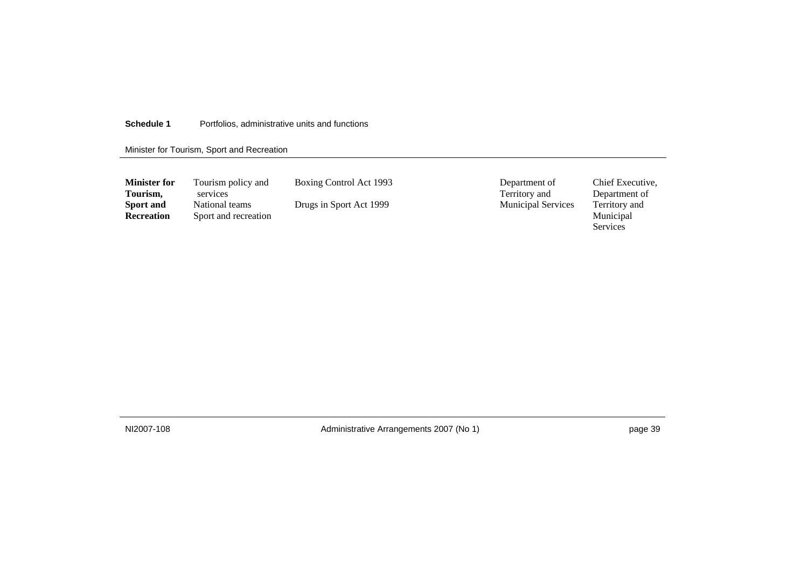### Minister for Tourism, Sport and Recreation

| <b>Minister for</b><br>Tourism, | Tourism policy and<br>services         | Boxing Control Act 1993 | Department of<br>Territory and | Chief Executive.<br>Department of |
|---------------------------------|----------------------------------------|-------------------------|--------------------------------|-----------------------------------|
| Sport and<br><b>Recreation</b>  | National teams<br>Sport and recreation | Drugs in Sport Act 1999 | <b>Municipal Services</b>      | Territory and<br>Municipal        |
|                                 |                                        |                         |                                | Services                          |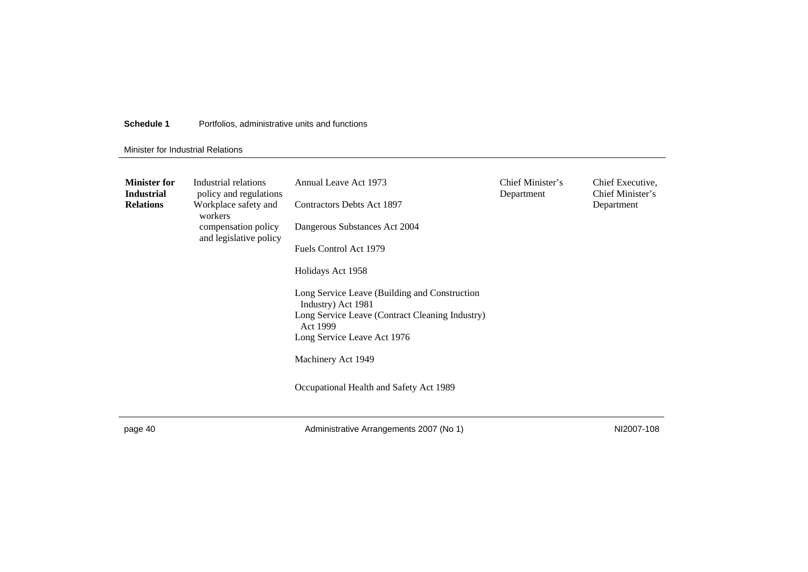#### Minister for Industrial Relations

| <b>Minister for</b><br><b>Industrial</b><br><b>Relations</b> | Industrial relations<br>policy and regulations<br>Workplace safety and<br>workers<br>compensation policy<br>and legislative policy | Annual Leave Act 1973<br>Contractors Debts Act 1897<br>Dangerous Substances Act 2004<br>Fuels Control Act 1979<br>Holidays Act 1958<br>Long Service Leave (Building and Construction<br>Industry) Act 1981<br>Long Service Leave (Contract Cleaning Industry)<br>Act 1999<br>Long Service Leave Act 1976<br>Machinery Act 1949<br>Occupational Health and Safety Act 1989 | Chief Minister's<br>Department | Chief Executive,<br>Chief Minister's<br>Department |
|--------------------------------------------------------------|------------------------------------------------------------------------------------------------------------------------------------|---------------------------------------------------------------------------------------------------------------------------------------------------------------------------------------------------------------------------------------------------------------------------------------------------------------------------------------------------------------------------|--------------------------------|----------------------------------------------------|
|                                                              |                                                                                                                                    |                                                                                                                                                                                                                                                                                                                                                                           |                                |                                                    |

page 40 **Administrative Arrangements 2007 (No 1)** NI2007-108 NI2007-108